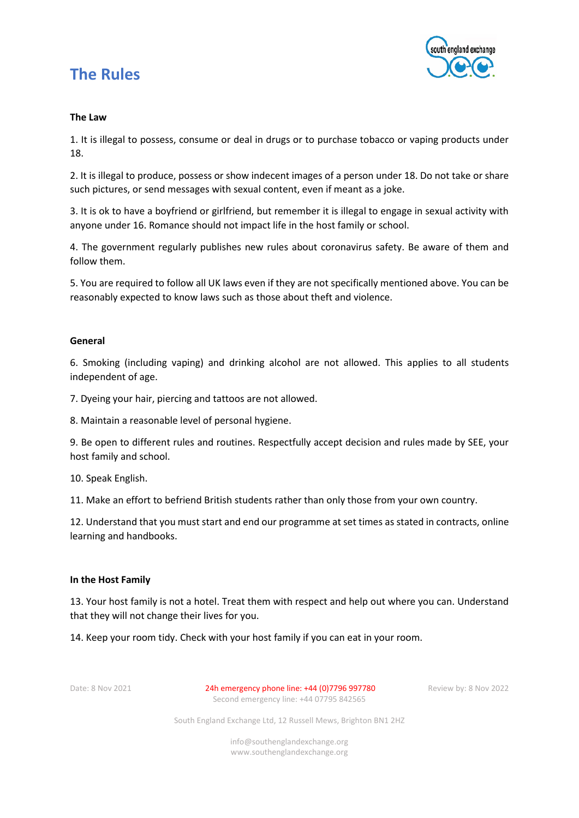



## **The Law**

1. It is illegal to possess, consume or deal in drugs or to purchase tobacco or vaping products under 18.

2. It is illegal to produce, possess or show indecent images of a person under 18. Do not take or share such pictures, or send messages with sexual content, even if meant as a joke.

3. It is ok to have a boyfriend or girlfriend, but remember it is illegal to engage in sexual activity with anyone under 16. Romance should not impact life in the host family or school.

4. The government regularly publishes new rules about coronavirus safety. Be aware of them and follow them.

5. You are required to follow all UK laws even if they are not specifically mentioned above. You can be reasonably expected to know laws such as those about theft and violence.

#### **General**

6. Smoking (including vaping) and drinking alcohol are not allowed. This applies to all students independent of age.

7. Dyeing your hair, piercing and tattoos are not allowed.

8. Maintain a reasonable level of personal hygiene.

9. Be open to different rules and routines. Respectfully accept decision and rules made by SEE, your host family and school.

10. Speak English.

11. Make an effort to befriend British students rather than only those from your own country.

12. Understand that you must start and end our programme at set times as stated in contracts, online learning and handbooks.

#### **In the Host Family**

13. Your host family is not a hotel. Treat them with respect and help out where you can. Understand that they will not change their lives for you.

14. Keep your room tidy. Check with your host family if you can eat in your room.

Date: 8 Nov 2021 24h emergency phone line: +44 (0)7796 997780 Review by: 8 Nov 2022 Second emergency line: +44 07795 842565

South England Exchange Ltd, 12 Russell Mews, Brighton BN1 2HZ

info@southenglandexchange.org www.southenglandexchange.org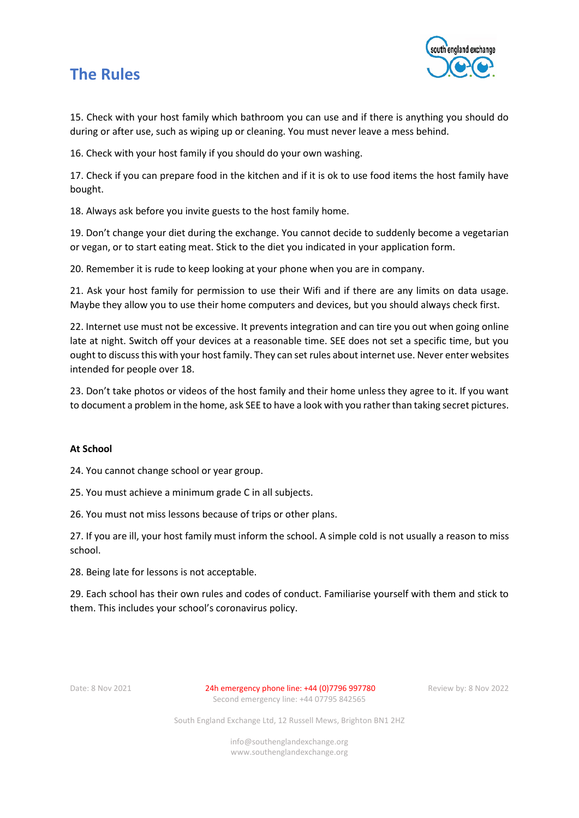# **The Rules**



15. Check with your host family which bathroom you can use and if there is anything you should do during or after use, such as wiping up or cleaning. You must never leave a mess behind.

16. Check with your host family if you should do your own washing.

17. Check if you can prepare food in the kitchen and if it is ok to use food items the host family have bought.

18. Always ask before you invite guests to the host family home.

19. Don't change your diet during the exchange. You cannot decide to suddenly become a vegetarian or vegan, or to start eating meat. Stick to the diet you indicated in your application form.

20. Remember it is rude to keep looking at your phone when you are in company.

21. Ask your host family for permission to use their Wifi and if there are any limits on data usage. Maybe they allow you to use their home computers and devices, but you should always check first.

22. Internet use must not be excessive. It prevents integration and can tire you out when going online late at night. Switch off your devices at a reasonable time. SEE does not set a specific time, but you ought to discuss this with your host family. They can set rules about internet use. Never enter websites intended for people over 18.

23. Don't take photos or videos of the host family and their home unless they agree to it. If you want to document a problem in the home, ask SEE to have a look with you rather than taking secret pictures.

## **At School**

24. You cannot change school or year group.

25. You must achieve a minimum grade C in all subjects.

26. You must not miss lessons because of trips or other plans.

27. If you are ill, your host family must inform the school. A simple cold is not usually a reason to miss school.

28. Being late for lessons is not acceptable.

29. Each school has their own rules and codes of conduct. Familiarise yourself with them and stick to them. This includes your school's coronavirus policy.

Date: 8 Nov 2021 24h emergency phone line: +44 (0)7796 997780 Review by: 8 Nov 2022 Second emergency line: +44 07795 842565

South England Exchange Ltd, 12 Russell Mews, Brighton BN1 2HZ

info@southenglandexchange.org www.southenglandexchange.org